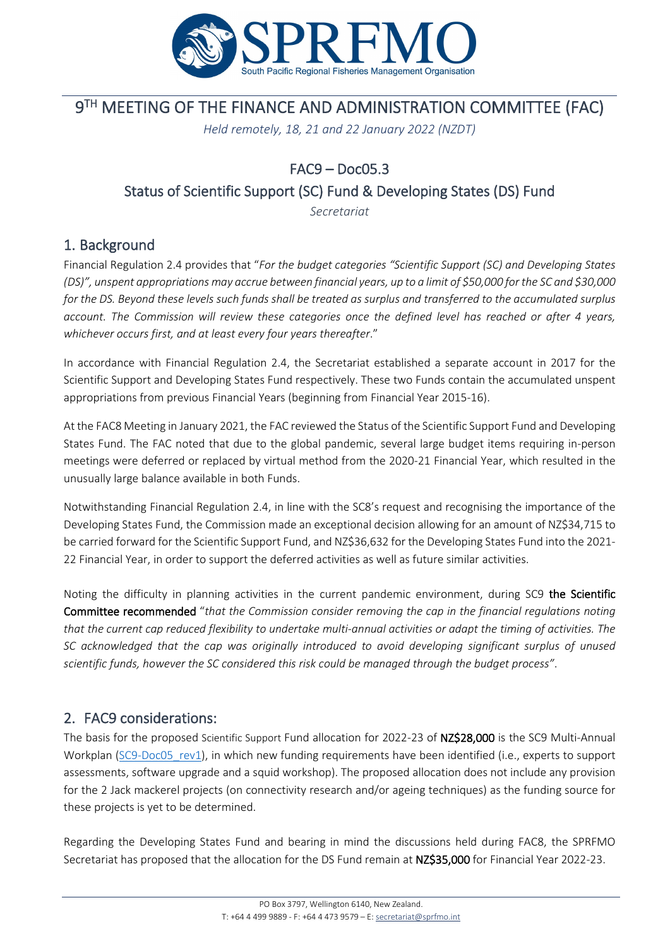

# **9TH MEETING OF THE FINANCE AND ADMINISTRATION COMMITTEE (FAC)**

*Held remotely, 18, 21 and 22 January 2022 (NZDT)*

## FAC9 – Doc05.3

### Status of Scientific Support (SC) Fund & Developing States (DS) Fund

*Secretariat*

### 1. Background

Financial Regulation 2.4 provides that "*For the budget categories "Scientific Support (SC) and Developing States (DS)", unspent appropriations may accrue between financial years, up to a limit of \$50,000 for the SC and \$30,000 for the DS. Beyond these levels such funds shall be treated as surplus and transferred to the accumulated surplus account. The Commission will review these categories once the defined level has reached or after 4 years, whichever occurs first, and at least every four years thereafter*."

In accordance with Financial Regulation 2.4, the Secretariat established a separate account in 2017 for the Scientific Support and Developing States Fund respectively. These two Funds contain the accumulated unspent appropriations from previous Financial Years (beginning from Financial Year 2015-16).

At the FAC8 Meeting in January 2021, the FAC reviewed the Status of the Scientific Support Fund and Developing States Fund. The FAC noted that due to the global pandemic, several large budget items requiring in-person meetings were deferred or replaced by virtual method from the 2020-21 Financial Year, which resulted in the unusually large balance available in both Funds.

Notwithstanding Financial Regulation 2.4, in line with the SC8's request and recognising the importance of the Developing States Fund, the Commission made an exceptional decision allowing for an amount of NZ\$34,715 to be carried forward for the Scientific Support Fund, and NZ\$36,632 for the Developing States Fund into the 2021- 22 Financial Year, in order to support the deferred activities as well as future similar activities.

Noting the difficulty in planning activities in the current pandemic environment, during SC9 the Scientific Committee recommended "*that the Commission consider removing the cap in the financial regulations noting that the current cap reduced flexibility to undertake multi-annual activities or adapt the timing of activities. The SC acknowledged that the cap was originally introduced to avoid developing significant surplus of unused scientific funds, however the SC considered this risk could be managed through the budget process"*.

### 2. FAC9 considerations:

The basis for the proposed Scientific Support Fund allocation for 2022-23 of NZ\$28,000 is the SC9 Multi-Annual Workplan (SC9-Doc05 rev1), in which new funding requirements have been identified (i.e., experts to support assessments, software upgrade and a squid workshop). The proposed allocation does not include any provision for the 2 Jack mackerel projects (on connectivity research and/or ageing techniques) as the funding source for these projects is yet to be determined.

Regarding the Developing States Fund and bearing in mind the discussions held during FAC8, the SPRFMO Secretariat has proposed that the allocation for the DS Fund remain at NZ\$35,000 for Financial Year 2022-23.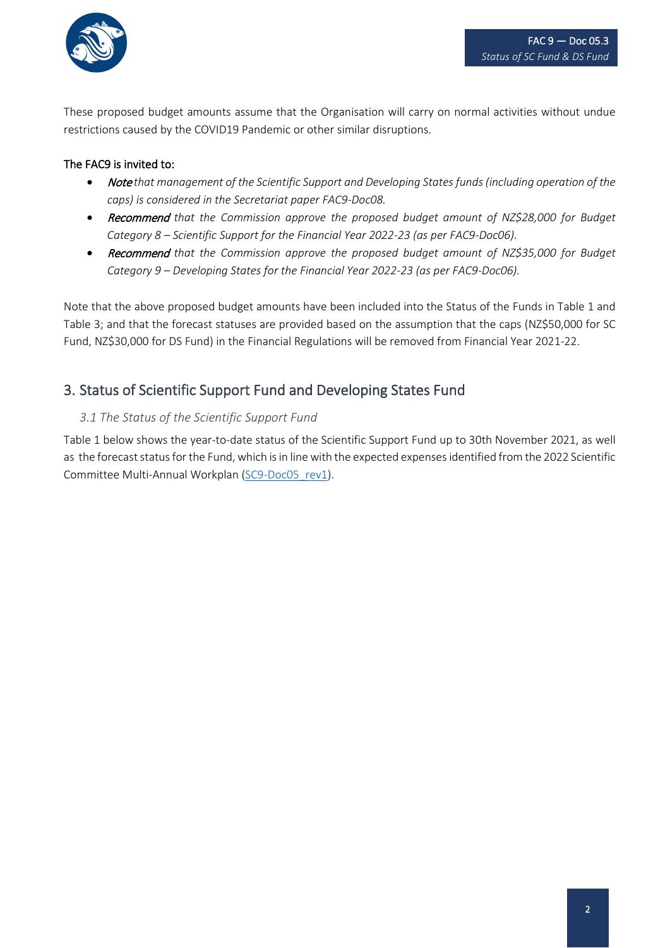

These proposed budget amounts assume that the Organisation will carry on normal activities without undue restrictions caused by the COVID19 Pandemic or other similar disruptions.

#### The FAC9 is invited to:

- Note that management of the Scientific Support and Developing States funds (including operation of the *caps) is considered in the Secretariat paper FAC9-Doc08.*
- Recommend *that the Commission approve the proposed budget amount of NZ\$28,000 for Budget Category 8 – Scientific Support for the Financial Year 2022-23 (as per FAC9-Doc06).*
- Recommend *that the Commission approve the proposed budget amount of NZ\$35,000 for Budget Category 9 – Developing States for the Financial Year 2022-23 (as per FAC9-Doc06).*

Note that the above proposed budget amounts have been included into the Status of the Funds in Table 1 and Table 3; and that the forecast statuses are provided based on the assumption that the caps (NZ\$50,000 for SC Fund, NZ\$30,000 for DS Fund) in the Financial Regulations will be removed from Financial Year 2021-22.

### 3. Status of Scientific Support Fund and Developing States Fund

#### *3.1 The Status of the Scientific Support Fund*

Table 1 below shows the year-to-date status of the Scientific Support Fund up to 30th November 2021, as well as the forecast status for the Fund, which is in line with the expected expenses identified from the 2022 Scientific Committee Multi-Annual Workplan [\(SC9-Doc05\\_rev1\)](http://www.sprfmo.int/assets/2021-SC9/SC9-Doc05-rev1-2022-Scientific-Committee-Multi-Annual-Plan.pdf).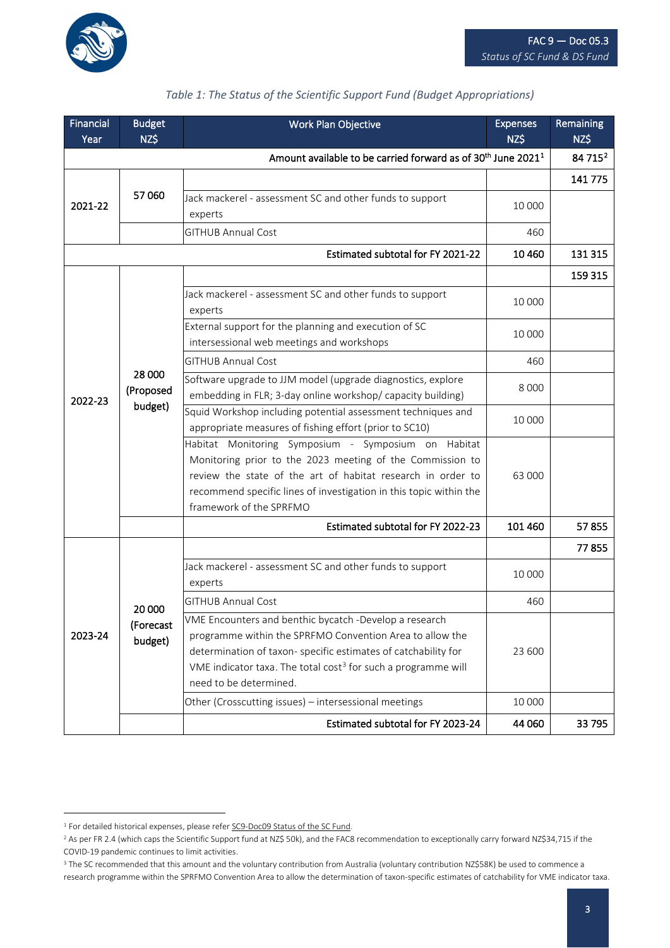

| <b>Financial</b><br>Year | <b>Budget</b><br>NZ\$                                                                | Work Plan Objective                                                                                                                                                                                                                                                                         | <b>Expenses</b><br>NZ\$ | Remaining<br>NZ\$ |
|--------------------------|--------------------------------------------------------------------------------------|---------------------------------------------------------------------------------------------------------------------------------------------------------------------------------------------------------------------------------------------------------------------------------------------|-------------------------|-------------------|
|                          | Amount available to be carried forward as of 30 <sup>th</sup> June 2021 <sup>1</sup> |                                                                                                                                                                                                                                                                                             | 84 715 <sup>2</sup>     |                   |
| 2021-22                  | 57 060                                                                               |                                                                                                                                                                                                                                                                                             |                         | 141 775           |
|                          |                                                                                      | Jack mackerel - assessment SC and other funds to support<br>experts                                                                                                                                                                                                                         | 10 000                  |                   |
|                          |                                                                                      | <b>GITHUB Annual Cost</b>                                                                                                                                                                                                                                                                   | 460                     |                   |
|                          |                                                                                      | 10 4 60                                                                                                                                                                                                                                                                                     | 131 315                 |                   |
| 2022-23                  | 28 000<br>(Proposed<br>budget)                                                       |                                                                                                                                                                                                                                                                                             |                         | 159 315           |
|                          |                                                                                      | Jack mackerel - assessment SC and other funds to support<br>experts                                                                                                                                                                                                                         | 10 000                  |                   |
|                          |                                                                                      | External support for the planning and execution of SC<br>intersessional web meetings and workshops                                                                                                                                                                                          | 10 000                  |                   |
|                          |                                                                                      | <b>GITHUB Annual Cost</b>                                                                                                                                                                                                                                                                   | 460                     |                   |
|                          |                                                                                      | Software upgrade to JJM model (upgrade diagnostics, explore<br>embedding in FLR; 3-day online workshop/ capacity building)                                                                                                                                                                  | 8 0 0 0                 |                   |
|                          |                                                                                      | Squid Workshop including potential assessment techniques and<br>appropriate measures of fishing effort (prior to SC10)                                                                                                                                                                      | 10 000                  |                   |
|                          |                                                                                      | Habitat Monitoring Symposium - Symposium on Habitat<br>Monitoring prior to the 2023 meeting of the Commission to<br>review the state of the art of habitat research in order to<br>recommend specific lines of investigation in this topic within the<br>framework of the SPRFMO            | 63 000                  |                   |
|                          |                                                                                      | Estimated subtotal for FY 2022-23                                                                                                                                                                                                                                                           | 101 460                 | 57855             |
|                          | 20 000<br>(Forecast<br>budget)                                                       |                                                                                                                                                                                                                                                                                             |                         | 77855             |
| 2023-24                  |                                                                                      | Jack mackerel - assessment SC and other funds to support<br>experts                                                                                                                                                                                                                         | 10 000                  |                   |
|                          |                                                                                      | <b>GITHUB Annual Cost</b>                                                                                                                                                                                                                                                                   | 460                     |                   |
|                          |                                                                                      | VME Encounters and benthic bycatch -Develop a research<br>programme within the SPRFMO Convention Area to allow the<br>determination of taxon- specific estimates of catchability for<br>VME indicator taxa. The total cost <sup>3</sup> for such a programme will<br>need to be determined. | 23 600                  |                   |
|                          |                                                                                      | Other (Crosscutting issues) - intersessional meetings                                                                                                                                                                                                                                       | 10 000                  |                   |
|                          |                                                                                      | Estimated subtotal for FY 2023-24                                                                                                                                                                                                                                                           | 44 060                  | 33 795            |

#### *Table 1: The Status of the Scientific Support Fund (Budget Appropriations)*

<span id="page-2-0"></span><sup>&</sup>lt;sup>1</sup> For detailed historical expenses, please refer **SC9-Doc09 Status of the SC Fund**.

<span id="page-2-1"></span><sup>&</sup>lt;sup>2</sup> As per FR 2.4 (which caps the Scientific Support fund at NZ\$ 50k), and the FAC8 recommendation to exceptionally carry forward NZ\$34,715 if the COVID-19 pandemic continues to limit activities.

<span id="page-2-2"></span><sup>&</sup>lt;sup>3</sup> The SC recommended that this amount and the voluntary contribution from Australia (voluntary contribution NZ\$58K) be used to commence a research programme within the SPRFMO Convention Area to allow the determination of taxon-specific estimates of catchability for VME indicator taxa.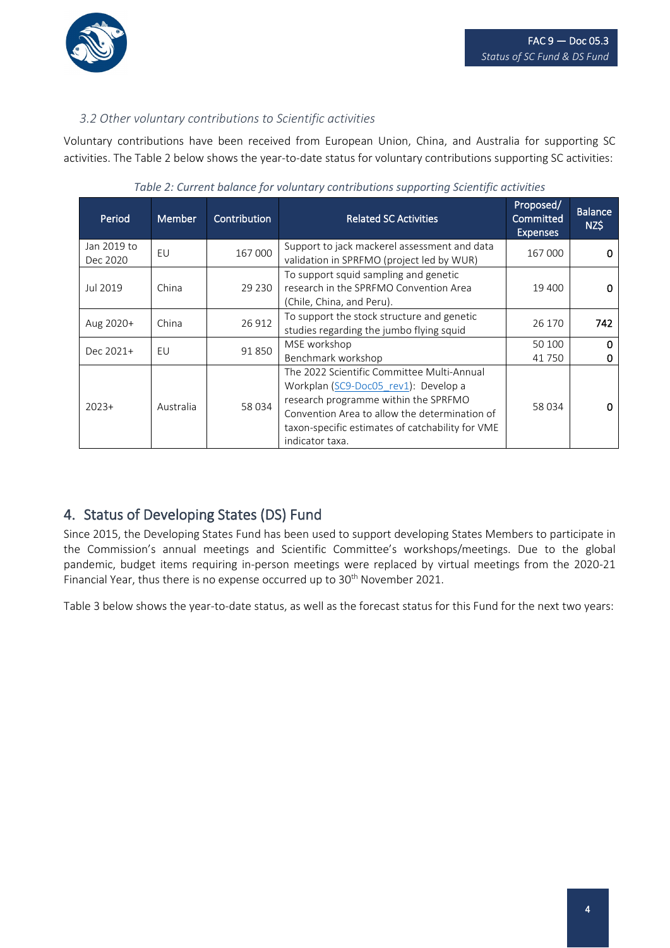

#### *3.2 Other voluntary contributions to Scientific activities*

Voluntary contributions have been received from European Union, China, and Australia for supporting SC activities. The Table 2 below shows the year-to-date status for voluntary contributions supporting SC activities:

| Period                  | <b>Member</b> | Contribution | <b>Related SC Activities</b>                                                                                                                                                                                                                       | Proposed/<br>Committed<br><b>Expenses</b> | <b>Balance</b><br>NZ\$ |
|-------------------------|---------------|--------------|----------------------------------------------------------------------------------------------------------------------------------------------------------------------------------------------------------------------------------------------------|-------------------------------------------|------------------------|
| Jan 2019 to<br>Dec 2020 | EU            | 167 000      | Support to jack mackerel assessment and data<br>validation in SPRFMO (project led by WUR)                                                                                                                                                          | 167 000                                   | n                      |
| Jul 2019                | China         | 29 2 30      | To support squid sampling and genetic<br>research in the SPRFMO Convention Area<br>(Chile, China, and Peru).                                                                                                                                       | 19 400                                    |                        |
| Aug 2020+               | China         | 26912        | To support the stock structure and genetic<br>studies regarding the jumbo flying squid                                                                                                                                                             | 26 170                                    | 742                    |
| Dec 2021+               | EU            | 91850        | MSE workshop<br>Benchmark workshop                                                                                                                                                                                                                 | 50 100<br>41 750                          | 0                      |
| $2023+$                 | Australia     | 58 034       | The 2022 Scientific Committee Multi-Annual<br>Workplan (SC9-Doc05 rev1): Develop a<br>research programme within the SPRFMO<br>Convention Area to allow the determination of<br>taxon-specific estimates of catchability for VME<br>indicator taxa. | 58 034                                    | n                      |

*Table 2: Current balance for voluntary contributions supporting Scientific activities*

### 4. Status of Developing States (DS) Fund

Since 2015, the Developing States Fund has been used to support developing States Members to participate in the Commission's annual meetings and Scientific Committee's workshops/meetings. Due to the global pandemic, budget items requiring in-person meetings were replaced by virtual meetings from the 2020-21 Financial Year, thus there is no expense occurred up to 30<sup>th</sup> November 2021.

Table 3 below shows the year-to-date status, as well as the forecast status for this Fund for the next two years: